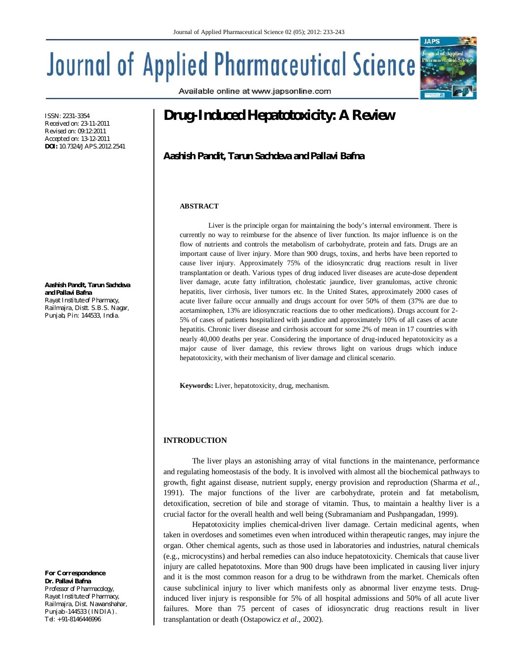# **Journal of Applied Pharmaceutical Science**



Available online at www.japsonline.com

#### ISSN: 2231-3354 Received on: 23-11-2011 Revised on: 09:12:2011 Accepted on: 13-12-2011 **DOI:** 10.7324/JAPS.2012.2541

**Aashish Pandit, Tarun Sachdeva and Pallavi Bafna** *Rayat Institute of Pharmacy, Railmajra, Distt. S.B.S. Nagar, Punjab, Pin: 144533, India.*

*For Correspondence* **Dr. Pallavi Bafna**  *Professor of Pharmacology, Rayat Institute of Pharmacy, Railmajra, Dist. Nawanshahar, Punjab -144533 (INDIA). Tel: +91-8146446996*

# **Drug-Induced Hepatotoxicity: A Review**

**Aashish Pandit, Tarun Sachdeva and Pallavi Bafna**

# **ABSTRACT**

Liver is the principle organ for maintaining the body's internal environment. There is currently no way to reimburse for the absence of liver function. Its major influence is on the flow of nutrients and controls the metabolism of carbohydrate, protein and fats. Drugs are an important cause of liver injury. More than 900 drugs, toxins, and herbs have been reported to cause liver injury. Approximately 75% of the idiosyncratic drug reactions result in liver transplantation or death. Various types of drug induced liver diseases are acute-dose dependent liver damage, acute fatty infiltration, cholestatic jaundice, liver granulomas, active chronic hepatitis, liver cirrhosis, liver tumors etc. In the United States, approximately 2000 cases of acute liver failure occur annually and drugs account for over 50% of them (37% are due to acetaminophen, 13% are idiosyncratic reactions due to other medications). Drugs account for 2- 5% of cases of patients hospitalized with jaundice and approximately 10% of all cases of acute hepatitis. Chronic liver disease and cirrhosis account for some 2% of mean in 17 countries with nearly 40,000 deaths per year. Considering the importance of drug-induced hepatotoxicity as a major cause of liver damage, this review throws light on various drugs which induce hepatotoxicity, with their mechanism of liver damage and clinical scenario.

**Keywords:** Liver, hepatotoxicity, drug, mechanism.

# **INTRODUCTION**

The liver plays an astonishing array of vital functions in the maintenance, performance and regulating homeostasis of the body. It is involved with almost all the biochemical pathways to growth, fight against disease, nutrient supply, energy provision and reproduction (Sharma *et al.,*  1991). The major functions of the liver are carbohydrate, protein and fat metabolism, detoxification, secretion of bile and storage of vitamin. Thus, to maintain a healthy liver is a crucial factor for the overall health and well being (Subramaniam and Pushpangadan, 1999).

Hepatotoxicity implies chemical-driven liver damage. Certain medicinal agents, when taken in overdoses and sometimes even when introduced within therapeutic ranges, may injure the organ. Other chemical agents, such as those used in laboratories and industries, natural chemicals (e.g., microcystins) and herbal remedies can also induce hepatotoxicity. Chemicals that cause liver injury are called hepatotoxins. More than 900 drugs have been implicated in causing liver injury and it is the most common reason for a drug to be withdrawn from the market. Chemicals often cause subclinical injury to liver which manifests only as abnormal liver enzyme tests. Druginduced liver injury is responsible for 5% of all hospital admissions and 50% of all acute liver failures. More than 75 percent of cases of idiosyncratic drug reactions result in liver transplantation or death (Ostapowicz *et al.,* 2002).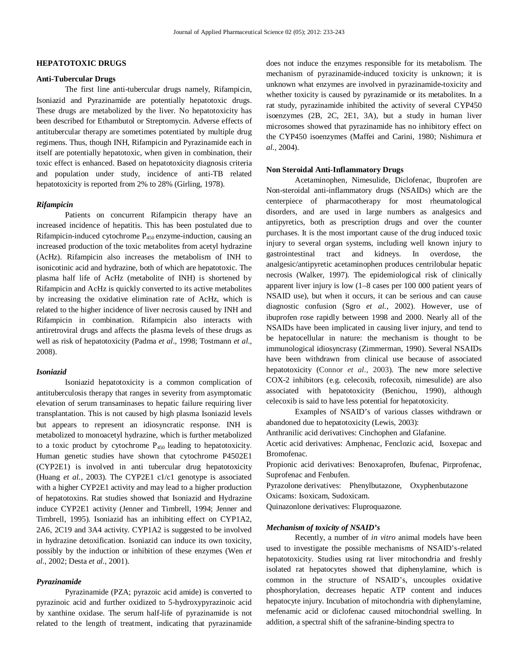# **HEPATOTOXIC DRUGS**

# **Anti-Tubercular Drugs**

The first line anti-tubercular drugs namely, Rifampicin, Isoniazid and Pyrazinamide are potentially hepatotoxic drugs. These drugs are metabolized by the liver. No hepatotoxicity has been described for Ethambutol or Streptomycin. Adverse effects of antitubercular therapy are sometimes potentiated by multiple drug regimens. Thus, though INH, Rifampicin and Pyrazinamide each in itself are potentially hepatotoxic, when given in combination, their toxic effect is enhanced. Based on hepatotoxicity diagnosis criteria and population under study, incidence of anti-TB related hepatotoxicity is reported from 2% to 28% (Girling, 1978).

# *Rifampicin*

Patients on concurrent Rifampicin therapy have an increased incidence of hepatitis. This has been postulated due to Rifampicin-induced cytochrome P450 enzyme-induction, causing an increased production of the toxic metabolites from acetyl hydrazine (AcHz). Rifampicin also increases the metabolism of INH to isonicotinic acid and hydrazine, both of which are hepatotoxic. The plasma half life of AcHz (metabolite of INH) is shortened by Rifampicin and AcHz is quickly converted to its active metabolites by increasing the oxidative elimination rate of AcHz, which is related to the higher incidence of liver necrosis caused by INH and Rifampicin in combination. Rifampicin also interacts with antiretroviral drugs and affects the plasma levels of these drugs as well as risk of hepatotoxicity (Padma *et al.,* 1998; Tostmann *et al.,*  2008).

#### *Isoniazid*

Isoniazid hepatotoxicity is a common complication of antituberculosis therapy that ranges in severity from asymptomatic elevation of serum transaminases to hepatic failure requiring liver transplantation. This is not caused by high plasma Isoniazid levels but appears to represent an idiosyncratic response. INH is metabolized to monoacetyl hydrazine, which is further metabolized to a toxic product by cytochrome  $P_{450}$  leading to hepatotoxicity. Human genetic studies have shown that cytochrome P4502E1 (CYP2E1) is involved in anti tubercular drug hepatotoxicity (Huang *et al.,* 2003). The CYP2E1 c1/c1 genotype is associated with a higher CYP2E1 activity and may lead to a higher production of hepatotoxins. Rat studies showed that Isoniazid and Hydrazine induce CYP2E1 activity (Jenner and Timbrell, 1994; Jenner and Timbrell, 1995). Isoniazid has an inhibiting effect on CYP1A2, 2A6, 2C19 and 3A4 activity. CYP1A2 is suggested to be involved in hydrazine detoxification. Isoniazid can induce its own toxicity, possibly by the induction or inhibition of these enzymes (Wen *et al.,* 2002; Desta *et al.,* 2001).

# *Pyrazinamide*

Pyrazinamide (PZA; pyrazoic acid amide) is converted to pyrazinoic acid and further oxidized to 5-hydroxypyrazinoic acid by xanthine oxidase. The serum half-life of pyrazinamide is not related to the length of treatment, indicating that pyrazinamide

does not induce the enzymes responsible for its metabolism. The mechanism of pyrazinamide-induced toxicity is unknown; it is unknown what enzymes are involved in pyrazinamide-toxicity and whether toxicity is caused by pyrazinamide or its metabolites. In a rat study, pyrazinamide inhibited the activity of several CYP450 isoenzymes (2B, 2C, 2E1, 3A), but a study in human liver microsomes showed that pyrazinamide has no inhibitory effect on the CYP450 isoenzymes (Maffei and Carini, 1980; Nishimura *et al.,* 2004).

#### **Non Steroidal Anti-Inflammatory Drugs**

Acetaminophen, Nimesulide, Diclofenac, Ibuprofen are Non-steroidal anti-inflammatory drugs (NSAIDs) which are the centerpiece of pharmacotherapy for most rheumatological disorders, and are used in large numbers as analgesics and antipyretics, both as prescription drugs and over the counter purchases. It is the most important cause of the drug induced toxic injury to several organ systems, including well known injury to gastrointestinal tract and kidneys. In overdose, the analgesic/antipyretic acetaminophen produces centrilobular hepatic necrosis (Walker, 1997). The epidemiological risk of clinically apparent liver injury is low (1–8 cases per 100 000 patient years of NSAID use), but when it occurs, it can be serious and can cause diagnostic confusion (Sgro *et al.,* 2002). However, use of ibuprofen rose rapidly between 1998 and 2000. Nearly all of the NSAIDs have been implicated in causing liver injury, and tend to be hepatocellular in nature: the mechanism is thought to be immunological idiosyncrasy (Zimmerman, 1990). Several NSAIDs have been withdrawn from clinical use because of associated hepatotoxicity (Connor *et al.,* 2003). The new more selective COX-2 inhibitors (e.g. celecoxib, rofecoxib, nimesulide) are also associated with hepatotoxicity (Benichou, 1990), although celecoxib is said to have less potential for hepatotoxicity.

Examples of NSAID's of various classes withdrawn or abandoned due to hepatotoxicity (Lewis, 2003):

Anthranilic acid derivatives: Cinchophen and Glafanine.

Acetic acid derivatives: Amphenac, Fenclozic acid, Isoxepac and Bromofenac.

Propionic acid derivatives: Benoxaprofen, Ibufenac, Pirprofenac, Suprofenac and Fenbufen.

Pyrazolone derivatives: Phenylbutazone, Oxyphenbutazone Oxicams: Isoxicam, Sudoxicam.

Quinazonlone derivatives: Fluproquazone.

#### *Mechanism of toxicity of NSAID's*

Recently, a number of *in vitro* animal models have been used to investigate the possible mechanisms of NSAID's-related hepatotoxicity. Studies using rat liver mitochondria and freshly isolated rat hepatocytes showed that diphenylamine, which is common in the structure of NSAID's, uncouples oxidative phosphorylation, decreases hepatic ATP content and induces hepatocyte injury. Incubation of mitochondria with diphenylamine, mefenamic acid or diclofenac caused mitochondrial swelling. In addition, a spectral shift of the safranine-binding spectra to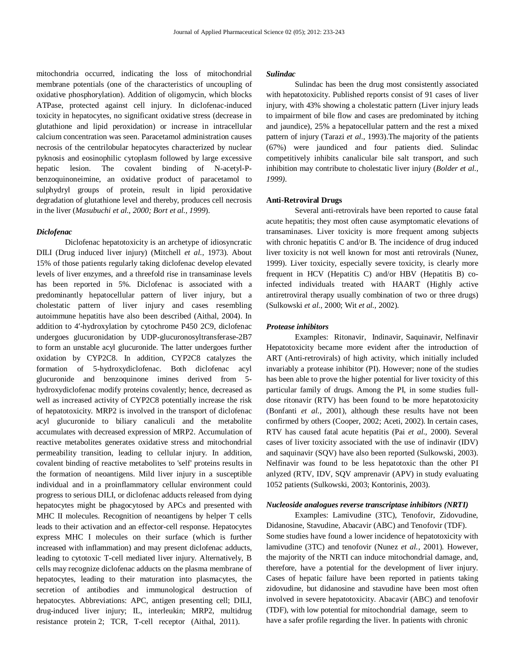mitochondria occurred, indicating the loss of mitochondrial membrane potentials (one of the characteristics of uncoupling of oxidative phosphorylation). Addition of oligomycin, which blocks ATPase, protected against cell injury. In diclofenac-induced toxicity in hepatocytes, no significant oxidative stress (decrease in glutathione and lipid peroxidation) or increase in intracellular calcium concentration was seen. Paracetamol administration causes necrosis of the centrilobular hepatocytes characterized by nuclear pyknosis and eosinophilic cytoplasm followed by large excessive hepatic lesion. The covalent binding of N-acetyl-Pbenzoquinoneimine, an oxidative product of paracetamol to sulphydryl groups of protein, result in lipid peroxidative degradation of glutathione level and thereby, produces cell necrosis in the liver (*Masubuchi et al., 2000; Bort et al., 1999*).

#### *Diclofenac*

Diclofenac hepatotoxicity is an archetype of idiosyncratic DILI (Drug induced liver injury) (Mitchell *et al.,* 1973). About 15% of those patients regularly taking diclofenac develop elevated levels of liver enzymes, and a threefold rise in transaminase levels has been reported in 5%. Diclofenac is associated with a predominantly hepatocellular pattern of liver injury, but a cholestatic pattern of liver injury and cases resembling autoimmune hepatitis have also been described (Aithal, 2004). In addition to 4′-hydroxylation by cytochrome P450 2C9, diclofenac undergoes glucuronidation by UDP-glucuronosyltransferase-2B7 to form an unstable acyl glucuronide. The latter undergoes further oxidation by CYP2C8. In addition, CYP2C8 catalyzes the formation of 5-hydroxydiclofenac. Both diclofenac acyl glucuronide and benzoquinone imines derived from 5 hydroxydiclofenac modify proteins covalently; hence, decreased as well as increased activity of CYP2C8 potentially increase the risk of hepatotoxicity. MRP2 is involved in the transport of diclofenac acyl glucuronide to biliary canaliculi and the metabolite accumulates with decreased expression of MRP2. Accumulation of reactive metabolites generates oxidative stress and mitochondrial permeability transition, leading to cellular injury. In addition, covalent binding of reactive metabolites to 'self' proteins results in the formation of neoantigens. Mild liver injury in a susceptible individual and in a proinflammatory cellular environment could progress to serious DILI, or diclofenac adducts released from dying hepatocytes might be phagocytosed by APCs and presented with MHC II molecules. Recognition of neoantigens by helper T cells leads to their activation and an effector-cell response. Hepatocytes express MHC I molecules on their surface (which is further increased with inflammation) and may present diclofenac adducts, leading to cytotoxic T-cell mediated liver injury. Alternatively, B cells may recognize diclofenac adducts on the plasma membrane of hepatocytes, leading to their maturation into plasmacytes, the secretion of antibodies and immunological destruction of hepatocytes. Abbreviations: APC, antigen presenting cell; DILI, drug-induced liver injury; IL, interleukin; MRP2, multidrug resistance protein 2; TCR, T-cell receptor (Aithal, 2011).

#### *Sulindac*

Sulindac has been the drug most consistently associated with hepatotoxicity. Published reports consist of 91 cases of liver injury, with 43% showing a cholestatic pattern (Liver injury leads to impairment of bile flow and cases are predominated by itching and jaundice), 25% a hepatocellular pattern and the rest a mixed pattern of injury (Tarazi *et al.,* 1993).The majority of the patients (67%) were jaundiced and four patients died. Sulindac competitively inhibits canalicular bile salt transport, and such inhibition may contribute to cholestatic liver injury (*Bolder et al., 1999)*.

# **Anti-Retroviral Drugs**

Several anti-retrovirals have been reported to cause fatal acute hepatitis; they most often cause asymptomatic elevations of transaminases. Liver toxicity is more frequent among subjects with chronic hepatitis C and/or B. The incidence of drug induced liver toxicity is not well known for most anti retrovirals (Nunez, 1999). Liver toxicity, especially severe toxicity, is clearly more frequent in HCV (Hepatitis C) and/or HBV (Hepatitis B) coinfected individuals treated with HAART (Highly active antiretroviral therapy usually combination of two or three drugs) (Sulkowski *et al.,* 2000; Wit *et al.,* 2002).

#### *Protease inhibitors*

Examples: Ritonavir, Indinavir, Saquinavir, Nelfinavir Hepatotoxicity became more evident after the introduction of ART (Anti-retrovirals) of high activity, which initially included invariably a protease inhibitor (PI). However; none of the studies has been able to prove the higher potential for liver toxicity of this particular family of drugs. Among the PI, in some studies fulldose ritonavir (RTV) has been found to be more hepatotoxicity (Bonfanti *et al.,* 2001), although these results have not been confirmed by others (Cooper, 2002; Aceti, 2002). In certain cases, RTV has caused fatal acute hepatitis (Pai *et al.,* 2000). Several cases of liver toxicity associated with the use of indinavir (IDV) and saquinavir (SQV) have also been reported (Sulkowski, 2003). Nelfinavir was found to be less hepatotoxic than the other PI anlyzed (RTV, IDV, SQV amprenavir (APV) in study evaluating 1052 patients (Sulkowski, 2003; Kontorinis, 2003).

#### *Nucleoside analogues reverse transcriptase inhibitors (NRTI)*

Examples: Lamivudine (3TC), Tenofovir, Zidovudine, Didanosine, Stavudine, Abacavir (ABC) and Tenofovir (TDF). Some studies have found a lower incidence of hepatotoxicity with lamivudine (3TC) and tenofovir (Nunez *et al.,* 2001). However, the majority of the NRTI can induce mitochondrial damage, and, therefore, have a potential for the development of liver injury. Cases of hepatic failure have been reported in patients taking zidovudine, but didanosine and stavudine have been most often involved in severe hepatotoxicity. Abacavir (ABC) and tenofovir (TDF), with low potential for mitochondrial damage, seem to have a safer profile regarding the liver. In patients with chronic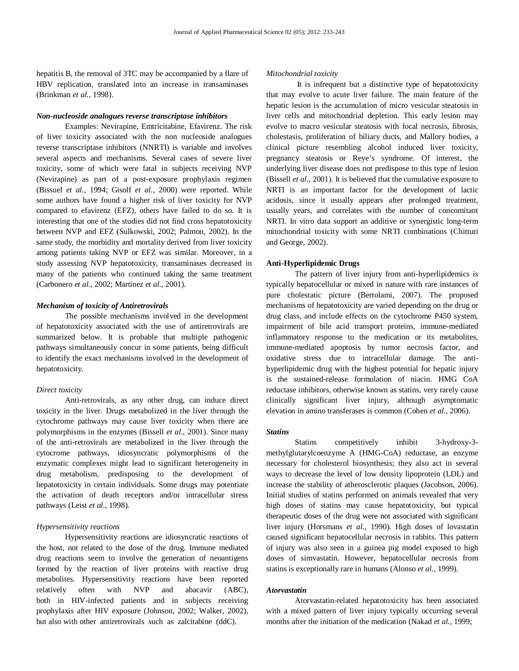hepatitis B, the removal of 3TC may be accompanied by a flare of HBV replication, translated into an increase in transaminases (Brinkman *et al.,* 1998).

#### *Non-nucleoside analogues reverse transcriptase inhibitors*

Examples: Nevirapine, Emtricitabine, Efavirenz. The risk of liver toxicity associated with the non nucleoside analogues reverse transcriptase inhibitors (NNRTI) is variable and involves several aspects and mechanisms. Several cases of severe liver toxicity, some of which were fatal in subjects receiving NVP (Nevirapine) as part of a post-exposure prophylaxis regimen (Bissuel *et al.,* 1994; Gisolf *et al.,* 2000) were reported. While some authors have found a higher risk of liver toxicity for NVP compared to efavirenz (EFZ), others have failed to do so. It is interesting that one of the studies did not find cross hepatotoxicity between NVP and EFZ (Sulkowski, 2002; Palmon, 2002). In the same study, the morbidity and mortality derived from liver toxicity among patients taking NVP or EFZ was similar. Moreover, in a study assessing NVP hepatotoxicity, transaminases decreased in many of the patients who continued taking the same treatment (Carbonero *et al.,* 2002; Martinez *et al.,* 2001).

#### *Mechanism of toxicity of Antiretrovirals*

The possible mechanisms involved in the development of hepatotoxicity associated with the use of antiretrovirals are summarized below. It is probable that multiple pathogenic pathways simultaneously concur in some patients, being difficult to identify the exact mechanisms involved in the development of hepatotoxicity.

# *Direct toxicity*

Anti-retrovirals, as any other drug, can induce direct toxicity in the liver. Drugs metabolized in the liver through the cytochrome pathways may cause liver toxicity when there are polymorphisms in the enzymes (Bissell *et al.,* 2001). Since many of the anti-retrovirals are metabolized in the liver through the cytocrome pathways, idiosyncratic polymorphisms of the enzymatic complexes might lead to significant heterogeneity in drug metabolism, predisposing to the development of hepatotoxicity in certain individuals. Some drugs may potentiate the activation of death receptors and/or intracellular stress pathways (Leist *et al.,* 1998).

# *Hypersensitivity reactions*

Hypersensitivity reactions are idiosyncratic reactions of the host, not related to the dose of the drug. Immune mediated drug reactions seem to involve the generation of neoantigens formed by the reaction of liver proteins with reactive drug metabolites. Hypersensitivity reactions have been reported relatively often with NVP and abacavir (ABC), both in HIV-infected patients and in subjects receiving prophylaxis after HIV exposure (Johnson, 2002; Walker, 2002), but also with other antiretrovirals such as zalcitabine (ddC).

# *Mitochondrial toxicity*

It is infrequent but a distinctive type of hepatotoxicity that may evolve to acute liver failure. The main feature of the hepatic lesion is the accumulation of micro vesicular steatosis in liver cells and mitochondrial depletion. This early lesion may evolve to macro vesicular steatosis with focal necrosis, fibrosis, cholestasis, proliferation of biliary ducts, and Mallory bodies, a clinical picture resembling alcohol induced liver toxicity, pregnancy steatosis or Reye's syndrome. Of interest, the underlying liver disease does not predispose to this type of lesion (Bissell *et al.,* 2001). It is believed that the cumulative exposure to NRTI is an important factor for the development of lactic acidosis, since it usually appears after prolonged treatment, usually years, and correlates with the number of concomitant NRTI. In vitro data support an additive or synergistic long-term mitochondrial toxicity with some NRTI combinations (Chitturi and George, 2002).

#### **Anti-Hyperlipidemic Drugs**

The pattern of liver injury from anti-hyperlipidemics is typically hepatocellular or mixed in nature with rare instances of pure cholestatic picture (Bertolami, 2007). The proposed mechanisms of hepatotoxicity are varied depending on the drug or drug class, and include effects on the cytochrome P450 system, impairment of bile acid transport proteins, immune-mediated inflammatory response to the medication or its metabolites, immune-mediated apoptosis by tumor necrosis factor, and oxidative stress due to intracellular damage. The antihyperlipidemic drug with the highest potential for hepatic injury is the sustained-release formulation of niacin. HMG CoA reductase inhibitors, otherwise known as statins, very rarely cause clinically significant liver injury, although asymptomatic elevation in amino transferases is common (Cohen *et al.,* 2006).

#### *Statins*

Statins competitively inhibit 3-hydroxy-3 methylglutarylcoenzyme A (HMG-CoA) reductase, an enzyme necessary for cholesterol biosynthesis; they also act in several ways to decrease the level of low density lipoprotein (LDL) and increase the stability of atherosclerotic plaques (Jacobson, 2006). Initial studies of statins performed on animals revealed that very high doses of statins may cause hepatotoxicity, but typical therapeutic doses of the drug were not associated with significant liver injury (Horsmans *et al.,* 1990). High doses of lovastatin caused significant hepatocellular necrosis in rabbits. This pattern of injury was also seen in a guinea pig model exposed to high doses of simvastatin. However, hepatocellular necrosis from statins is exceptionally rare in humans (Alonso *et al.,* 1999).

#### *Atorvastatin*

Atorvastatin-related hepatotoxicity has been associated with a mixed pattern of liver injury typically occurring several months after the initiation of the medication (Nakad *et al.,* 1999;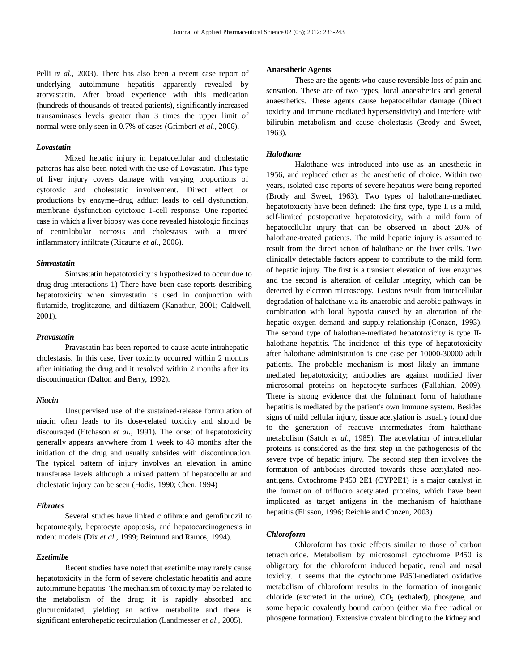Pelli *et al.,* 2003). There has also been a recent case report of underlying autoimmune hepatitis apparently revealed by atorvastatin. After broad experience with this medication (hundreds of thousands of treated patients), significantly increased transaminases levels greater than 3 times the upper limit of normal were only seen in 0.7% of cases (Grimbert *et al.,* 2006).

#### *Lovastatin*

Mixed hepatic injury in hepatocellular and cholestatic patterns has also been noted with the use of Lovastatin. This type of liver injury covers damage with varying proportions of cytotoxic and cholestatic involvement. Direct effect or productions by enzyme–drug adduct leads to cell dysfunction, membrane dysfunction cytotoxic T-cell response. One reported case in which a liver biopsy was done revealed histologic findings of centrilobular necrosis and cholestasis with a mixed inflammatory infiltrate (Ricaurte *et al.,* 2006).

#### *Simvastatin*

Simvastatin hepatotoxicity is hypothesized to occur due to drug-drug interactions 1) There have been case reports describing hepatotoxicity when simvastatin is used in conjunction with flutamide, troglitazone, and diltiazem (Kanathur, 2001; Caldwell, 2001).

#### *Pravastatin*

Pravastatin has been reported to cause acute intrahepatic cholestasis. In this case, liver toxicity occurred within 2 months after initiating the drug and it resolved within 2 months after its discontinuation (Dalton and Berry, 1992).

#### *Niacin*

Unsupervised use of the sustained-release formulation of niacin often leads to its dose-related toxicity and should be discouraged (Etchason *et al.,* 1991). The onset of hepatotoxicity generally appears anywhere from 1 week to 48 months after the initiation of the drug and usually subsides with discontinuation. The typical pattern of injury involves an elevation in amino transferase levels although a mixed pattern of hepatocellular and cholestatic injury can be seen (Hodis, 1990; Chen, 1994)

#### *Fibrates*

Several studies have linked clofibrate and gemfibrozil to hepatomegaly, hepatocyte apoptosis, and hepatocarcinogenesis in rodent models (Dix *et al.,* 1999; Reimund and Ramos, 1994).

#### *Ezetimibe*

Recent studies have noted that ezetimibe may rarely cause hepatotoxicity in the form of severe cholestatic hepatitis and acute autoimmune hepatitis. The mechanism of toxicity may be related to the metabolism of the drug; it is rapidly absorbed and glucuronidated, yielding an active metabolite and there is significant enterohepatic recirculation (Landmesser *et al.,* 2005).

#### **Anaesthetic Agents**

These are the agents who cause reversible loss of pain and sensation. These are of two types, local anaesthetics and general anaesthetics. These agents cause hepatocellular damage (Direct toxicity and immune mediated hypersensitivity) and interfere with bilirubin metabolism and cause cholestasis (Brody and Sweet, 1963).

# *Halothane*

Halothane was introduced into use as an anesthetic in 1956, and replaced ether as the anesthetic of choice. Within two years, isolated case reports of severe hepatitis were being reported (Brody and Sweet, 1963). Two types of halothane-mediated hepatotoxicity have been defined: The first type, type I, is a mild, self-limited postoperative hepatotoxicity, with a mild form of hepatocellular injury that can be observed in about 20% of halothane-treated patients. The mild hepatic injury is assumed to result from the direct action of halothane on the liver cells. Two clinically detectable factors appear to contribute to the mild form of hepatic injury. The first is a transient elevation of liver enzymes and the second is alteration of cellular integrity, which can be detected by electron microscopy. Lesions result from intracellular degradation of halothane via its anaerobic and aerobic pathways in combination with local hypoxia caused by an alteration of the hepatic oxygen demand and supply relationship (Conzen, 1993). The second type of halothane-mediated hepatotoxicity is type IIhalothane hepatitis. The incidence of this type of hepatotoxicity after halothane administration is one case per 10000-30000 adult patients. The probable mechanism is most likely an immunemediated hepatotoxicity; antibodies are against modified liver microsomal proteins on hepatocyte surfaces (Fallahian, 2009). There is strong evidence that the fulminant form of halothane hepatitis is mediated by the patient's own immune system. Besides signs of mild cellular injury, tissue acetylation is usually found due to the generation of reactive intermediates from halothane metabolism (Satoh *et al.,* 1985). The acetylation of intracellular proteins is considered as the first step in the pathogenesis of the severe type of hepatic injury. The second step then involves the formation of antibodies directed towards these acetylated neoantigens. Cytochrome P450 2E1 (CYP2E1) is a major catalyst in the formation of trifluoro acetylated proteins, which have been implicated as target antigens in the mechanism of halothane hepatitis (Elisson, 1996; Reichle and Conzen, 2003).

#### *Chloroform*

Chloroform has toxic effects similar to those of carbon tetrachloride. Metabolism by microsomal cytochrome P450 is obligatory for the chloroform induced hepatic, renal and nasal toxicity. It seems that the cytochrome P450-mediated oxidative metabolism of chloroform results in the formation of inorganic chloride (excreted in the urine),  $CO<sub>2</sub>$  (exhaled), phosgene, and some hepatic covalently bound carbon (either via free radical or phosgene formation). Extensive covalent binding to the kidney and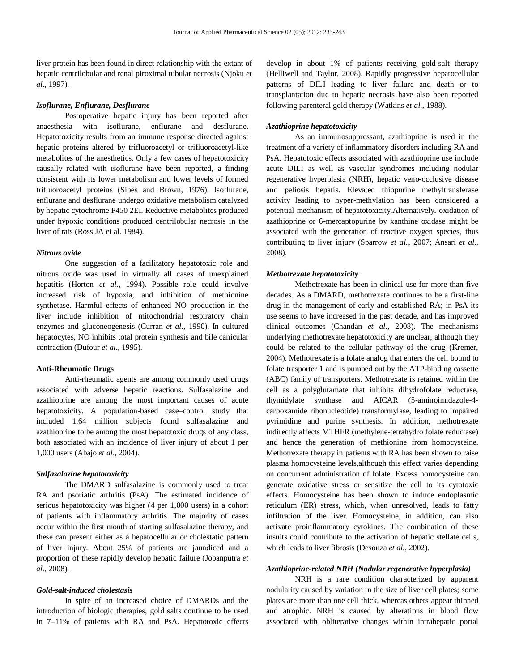liver protein has been found in direct relationship with the extant of hepatic centrilobular and renal piroximal tubular necrosis (Njoku *et al.,* 1997).

# *Isoflurane, Enflurane, Desflurane*

Postoperative hepatic injury has been reported after anaesthesia with isoflurane, enflurane and desflurane. Hepatotoxicity results from an immune response directed against hepatic proteins altered by trifluoroacetyl or trifluoroacetyl-like metabolites of the anesthetics. Only a few cases of hepatotoxicity causally related with isoflurane have been reported, a finding consistent with its lower metabolism and lower levels of formed trifluoroacetyl proteins (Sipes and Brown, 1976). Isoflurane, enflurane and desflurane undergo oxidative metabolism catalyzed by hepatic cytochrome P450 2EI. Reductive metabolites produced under hypoxic conditions produced centrilobular necrosis in the liver of rats (Ross JA et al. 1984).

#### *Nitrous oxide*

One suggestion of a facilitatory hepatotoxic role and nitrous oxide was used in virtually all cases of unexplained hepatitis (Horton *et al.,* 1994). Possible role could involve increased risk of hypoxia, and inhibition of methionine synthetase. Harmful effects of enhanced NO production in the liver include inhibition of mitochondrial respiratory chain enzymes and gluconeogenesis (Curran *et al.,* 1990). In cultured hepatocytes, NO inhibits total protein synthesis and bile canicular contraction (Dufour *et al.,* 1995).

# **Anti-Rheumatic Drugs**

Anti-rheumatic agents are among commonly used drugs associated with adverse hepatic reactions. Sulfasalazine and azathioprine are among the most important causes of acute hepatotoxicity. A population-based case–control study that included 1.64 million subjects found sulfasalazine and azathioprine to be among the most hepatotoxic drugs of any class, both associated with an incidence of liver injury of about 1 per 1,000 users (Abajo *et al.,* 2004).

# *Sulfasalazine hepatotoxicity*

The DMARD sulfasalazine is commonly used to treat RA and psoriatic arthritis (PsA). The estimated incidence of serious hepatotoxicity was higher (4 per 1,000 users) in a cohort of patients with inflammatory arthritis. The majority of cases occur within the first month of starting sulfasalazine therapy, and these can present either as a hepatocellular or cholestatic pattern of liver injury. About 25% of patients are jaundiced and a proportion of these rapidly develop hepatic failure (Jobanputra *et al.,* 2008).

#### *Gold-salt-induced cholestasis*

In spite of an increased choice of DMARDs and the introduction of biologic therapies, gold salts continue to be used in 7–11% of patients with RA and PsA. Hepatotoxic effects develop in about 1% of patients receiving gold-salt therapy (Helliwell and Taylor, 2008). Rapidly progressive hepatocellular patterns of DILI leading to liver failure and death or to transplantation due to hepatic necrosis have also been reported following parenteral gold therapy (Watkins *et al.,* 1988).

#### *Azathioprine hepatotoxicity*

As an immunosuppressant, azathioprine is used in the treatment of a variety of inflammatory disorders including RA and PsA. Hepatotoxic effects associated with azathioprine use include acute DILI as well as vascular syndromes including nodular regenerative hyperplasia (NRH), hepatic veno-occlusive disease and peliosis hepatis. Elevated thiopurine methyltransferase activity leading to hyper-methylation has been considered a potential mechanism of hepatotoxicity.Alternatively, oxidation of azathioprine or 6-mercaptopurine by xanthine oxidase might be associated with the generation of reactive oxygen species, thus contributing to liver injury (Sparrow *et al.,* 2007; Ansari *et al.,*  2008).

#### *Methotrexate hepatotoxicity*

Methotrexate has been in clinical use for more than five decades. As a DMARD, methotrexate continues to be a first-line drug in the management of early and established RA; in PsA its use seems to have increased in the past decade, and has improved clinical outcomes (Chandan *et al.,* 2008). The mechanisms underlying methotrexate hepatotoxicity are unclear, although they could be related to the cellular pathway of the drug (Kremer, 2004). Methotrexate is a folate analog that enters the cell bound to folate trasporter 1 and is pumped out by the ATP-binding cassette (ABC) family of transporters. Methotrexate is retained within the cell as a polyglutamate that inhibits dihydrofolate reductase, thymidylate synthase and AICAR (5-aminoimidazole-4 carboxamide ribonucleotide) transformylase, leading to impaired pyrimidine and purine synthesis. In addition, methotrexate indirectly affects MTHFR (methylene-tetrahydro folate reductase) and hence the generation of methionine from homocysteine. Methotrexate therapy in patients with RA has been shown to raise plasma homocysteine levels,although this effect varies depending on concurrent administration of folate. Excess homocysteine can generate oxidative stress or sensitize the cell to its cytotoxic effects. Homocysteine has been shown to induce endoplasmic reticulum (ER) stress, which, when unresolved, leads to fatty infiltration of the liver. Homocysteine, in addition, can also activate proinflammatory cytokines. The combination of these insults could contribute to the activation of hepatic stellate cells, which leads to liver fibrosis (Desouza *et al.,* 2002).

# *Azathioprine-related NRH (Nodular regenerative hyperplasia)*

NRH is a rare condition characterized by apparent nodularity caused by variation in the size of liver cell plates; some plates are more than one cell thick, whereas others appear thinned and atrophic. NRH is caused by alterations in blood flow associated with obliterative changes within intrahepatic portal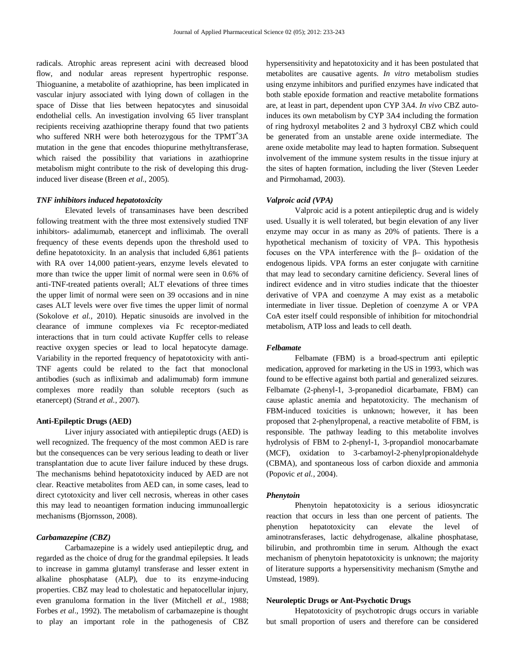radicals. Atrophic areas represent acini with decreased blood flow, and nodular areas represent hypertrophic response. Thioguanine, a metabolite of azathioprine, has been implicated in vascular injury associated with lying down of collagen in the space of Disse that lies between hepatocytes and sinusoidal endothelial cells. An investigation involving 65 liver transplant recipients receiving azathioprine therapy found that two patients who suffered NRH were both heterozygous for the TPMT\* 3A mutation in the gene that encodes thiopurine methyltransferase, which raised the possibility that variations in azathioprine metabolism might contribute to the risk of developing this druginduced liver disease (Breen *et al.,* 2005).

#### *TNF inhibitors induced hepatotoxicity*

Elevated levels of transaminases have been described following treatment with the three most extensively studied TNF inhibitors- adalimumab, etanercept and infliximab. The overall frequency of these events depends upon the threshold used to define hepatotoxicity. In an analysis that included 6,861 patients with RA over 14,000 patient-years, enzyme levels elevated to more than twice the upper limit of normal were seen in 0.6% of anti-TNF-treated patients overall; ALT elevations of three times the upper limit of normal were seen on 39 occasions and in nine cases ALT levels were over five times the upper limit of normal (Sokolove *et al.,* 2010). Hepatic sinusoids are involved in the clearance of immune complexes via Fc receptor-mediated interactions that in turn could activate Kupffer cells to release reactive oxygen species or lead to local hepatocyte damage. Variability in the reported frequency of hepatotoxicity with anti-TNF agents could be related to the fact that monoclonal antibodies (such as infliximab and adalimumab) form immune complexes more readily than soluble receptors (such as etanercept) (Strand *et al.,* 2007).

# **Anti-Epileptic Drugs (AED)**

Liver injury associated with antiepileptic drugs (AED) is well recognized. The frequency of the most common AED is rare but the consequences can be very serious leading to death or liver transplantation due to acute liver failure induced by these drugs. The mechanisms behind hepatotoxicity induced by AED are not clear. Reactive metabolites from AED can, in some cases, lead to direct cytotoxicity and liver cell necrosis, whereas in other cases this may lead to neoantigen formation inducing immunoallergic mechanisms (Bjornsson, 2008).

# *Carbamazepine (CBZ)*

Carbamazepine is a widely used antiepileptic drug, and regarded as the choice of drug for the grandmal epilepsies. It leads to increase in gamma glutamyl transferase and lesser extent in alkaline phosphatase (ALP), due to its enzyme-inducing properties. CBZ may lead to cholestatic and hepatocellular injury, even granuloma formation in the liver (Mitchell *et al.,* 1988; Forbes *et al.,* 1992). The metabolism of carbamazepine is thought to play an important role in the pathogenesis of CBZ hypersensitivity and hepatotoxicity and it has been postulated that metabolites are causative agents. *In vitro* metabolism studies using enzyme inhibitors and purified enzymes have indicated that both stable epoxide formation and reactive metabolite formations are, at least in part, dependent upon CYP 3A4. *In vivo* CBZ autoinduces its own metabolism by CYP 3A4 including the formation of ring hydroxyl metabolites 2 and 3 hydroxyl CBZ which could be generated from an unstable arene oxide intermediate. The arene oxide metabolite may lead to hapten formation. Subsequent involvement of the immune system results in the tissue injury at the sites of hapten formation, including the liver (Steven Leeder and Pirmohamad, 2003).

# *Valproic acid (VPA)*

Valproic acid is a potent antiepileptic drug and is widely used. Usually it is well tolerated, but begin elevation of any liver enzyme may occur in as many as 20% of patients. There is a hypothetical mechanism of toxicity of VPA. This hypothesis focuses on the VPA interference with the β– oxidation of the endogenous lipids. VPA forms an ester conjugate with carnitine that may lead to secondary carnitine deficiency. Several lines of indirect evidence and in vitro studies indicate that the thioester derivative of VPA and coenzyme A may exist as a metabolic intermediate in liver tissue. Depletion of coenzyme A or VPA CoA ester itself could responsible of inhibition for mitochondrial metabolism, ATP loss and leads to cell death.

#### *Felbamate*

Felbamate (FBM) is a broad-spectrum anti epileptic medication, approved for marketing in the US in 1993, which was found to be effective against both partial and generalized seizures. Felbamate (2-phenyl-1, 3-propanediol dicarbamate, FBM) can cause aplastic anemia and hepatotoxicity. The mechanism of FBM-induced toxicities is unknown; however, it has been proposed that 2-phenylpropenal, a reactive metabolite of FBM, is responsible. The pathway leading to this metabolite involves hydrolysis of FBM to 2-phenyl-1, 3-propandiol monocarbamate (MCF), oxidation to 3-carbamoyl-2-phenylpropionaldehyde (CBMA), and spontaneous loss of carbon dioxide and ammonia (Popovic *et al.,* 2004).

#### *Phenytoin*

Phenytoin hepatotoxicity is a serious idiosyncratic reaction that occurs in less than one percent of patients. The phenytion hepatotoxicity can elevate the level of aminotransferases, lactic dehydrogenase, alkaline phosphatase, bilirubin, and prothrombin time in serum. Although the exact mechanism of phenytoin hepatotoxicity is unknown; the majority of literature supports a hypersensitivity mechanism (Smythe and Umstead, 1989).

# **Neuroleptic Drugs or Ant-Psychotic Drugs**

Hepatotoxicity of psychotropic drugs occurs in variable but small proportion of users and therefore can be considered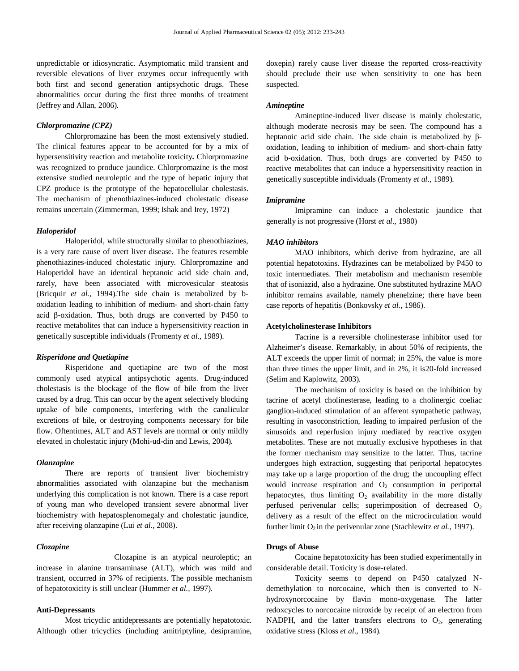unpredictable or idiosyncratic. Asymptomatic mild transient and reversible elevations of liver enzymes occur infrequently with both first and second generation antipsychotic drugs. These abnormalities occur during the first three months of treatment (Jeffrey and Allan, 2006).

# *Chlorpromazine (CPZ)*

Chlorpromazine has been the most extensively studied. The clinical features appear to be accounted for by a mix of hypersensitivity reaction and metabolite toxicity**.** Chlorpromazine was recognized to produce jaundice. Chlorpromazine is the most extensive studied neuroleptic and the type of hepatic injury that CPZ produce is the prototype of the hepatocellular cholestasis. The mechanism of phenothiazines-induced cholestatic disease remains uncertain (Zimmerman, 1999; Ishak and Irey, 1972)

#### *Haloperidol*

Haloperidol, while structurally similar to phenothiazines, is a very rare cause of overt liver disease. The features resemble phenothiazines-induced cholestatic injury. Chlorpromazine and Haloperidol have an identical heptanoic acid side chain and, rarely, have been associated with microvesicular steatosis (Bricquir *et al.,* 1994).The side chain is metabolized by boxidation leading to inhibition of medium- and short-chain fatty acid β-oxidation. Thus, both drugs are converted by P450 to reactive metabolites that can induce a hypersensitivity reaction in genetically susceptible individuals (Fromenty *et al.,* 1989).

#### *Risperidone and Quetiapine*

Risperidone and quetiapine are two of the most commonly used atypical antipsychotic agents. Drug-induced cholestasis is the blockage of the flow of bile from the liver caused by a drug. This can occur by the agent selectively blocking uptake of bile components, interfering with the canalicular excretions of bile, or destroying components necessary for bile flow. Oftentimes, ALT and AST levels are normal or only mildly elevated in cholestatic injury (Mohi-ud-din and Lewis, 2004).

#### *Olanzapine*

There are reports of transient liver biochemistry abnormalities associated with olanzapine but the mechanism underlying this complication is not known. There is a case report of young man who developed transient severe abnormal liver biochemistry with hepatosplenomegaly and cholestatic jaundice, after receiving olanzapine (Lui *et al.,* 2008).

# *Clozapine*

Clozapine is an atypical neuroleptic; an increase in alanine transaminase (ALT), which was mild and transient, occurred in 37% of recipients. The possible mechanism of hepatotoxicity is still unclear (Hummer *et al.,* 1997).

#### **Anti-Depressants**

Most tricyclic antidepressants are potentially hepatotoxic. Although other tricyclics (including amitriptyline, desipramine, doxepin) rarely cause liver disease the reported cross-reactivity should preclude their use when sensitivity to one has been suspected.

#### *Amineptine*

Amineptine-induced liver disease is mainly cholestatic, although moderate necrosis may be seen. The compound has a heptanoic acid side chain. The side chain is metabolized by βoxidation, leading to inhibition of medium- and short-chain fatty acid b-oxidation. Thus, both drugs are converted by P450 to reactive metabolites that can induce a hypersensitivity reaction in genetically susceptible individuals (Fromenty *et al.,* 1989).

# *Imipramine*

Imipramine can induce a cholestatic jaundice that generally is not progressive (Horst *et al.,* 1980)

# *MAO inhibitors*

MAO inhibitors, which derive from hydrazine, are all potential hepatotoxins. Hydrazines can be metabolized by P450 to toxic intermediates. Their metabolism and mechanism resemble that of isoniazid, also a hydrazine. One substituted hydrazine MAO inhibitor remains available, namely phenelzine; there have been case reports of hepatitis (Bonkovsky *et al.,* 1986).

#### **Acetylcholinesterase Inhibitors**

Tacrine is a reversible cholinesterase inhibitor used for Alzheimer's disease. Remarkably, in about 50% of recipients, the ALT exceeds the upper limit of normal; in 25%, the value is more than three times the upper limit, and in 2%, it is20-fold increased (Selim and Kaplowitz, 2003).

The mechanism of toxicity is based on the inhibition by tacrine of acetyl cholinesterase, leading to a cholinergic coeliac ganglion-induced stimulation of an afferent sympathetic pathway, resulting in vasoconstriction, leading to impaired perfusion of the sinusoids and reperfusion injury mediated by reactive oxygen metabolites. These are not mutually exclusive hypotheses in that the former mechanism may sensitize to the latter. Thus, tacrine undergoes high extraction, suggesting that periportal hepatocytes may take up a large proportion of the drug; the uncoupling effect would increase respiration and  $O<sub>2</sub>$  consumption in periportal hepatocytes, thus limiting  $O_2$  availability in the more distally perfused perivenular cells; superimposition of decreased  $O_2$ delivery as a result of the effect on the microcirculation would further limit  $O_2$  in the perivenular zone (Stachlewitz *et al.*, 1997).

# **Drugs of Abuse**

Cocaine hepatotoxicity has been studied experimentally in considerable detail. Toxicity is dose-related.

Toxicity seems to depend on P450 catalyzed Ndemethylation to norcocaine, which then is converted to Nhydroxynorcocaine by flavin mono-oxygenase. The latter redoxcycles to norcocaine nitroxide by receipt of an electron from NADPH, and the latter transfers electrons to  $O_2$ , generating oxidative stress (Kloss *et al.,* 1984).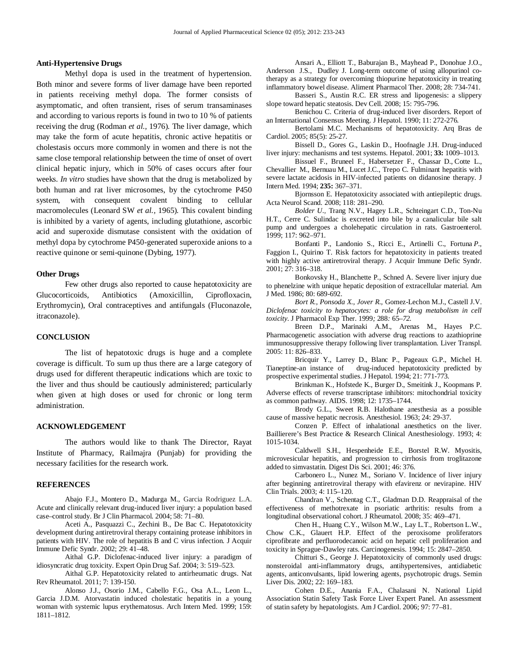#### **Anti-Hypertensive Drugs**

Methyl dopa is used in the treatment of hypertension. Both minor and severe forms of liver damage have been reported in patients receiving methyl dopa. The former consists of asymptomatic, and often transient, rises of serum transaminases and according to various reports is found in two to 10 % of patients receiving the drug (Rodman *et al.,* 1976). The liver damage, which may take the form of acute hepatitis, chronic active hepatitis or cholestasis occurs more commonly in women and there is not the same close temporal relationship between the time of onset of overt clinical hepatic injury, which in 50% of cases occurs after four weeks. *In vitro* studies have shown that the drug is metabolized by both human and rat liver microsomes, by the cytochrome P450 system, with consequent covalent binding to cellular macromolecules (Leonard SW *et al.,* 1965). This covalent binding is inhibited by a variety of agents, including glutathione, ascorbic acid and superoxide dismutase consistent with the oxidation of methyl dopa by cytochrome P450-generated superoxide anions to a reactive quinone or semi-quinone (Dybing, 1977).

#### **Other Drugs**

Few other drugs also reported to cause hepatotoxicity are Glucocorticoids, Antibiotics (Amoxicillin, Ciprofloxacin, Erythromycin), Oral contraceptives and antifungals (Fluconazole, itraconazole).

# **CONCLUSION**

The list of hepatotoxic drugs is huge and a complete coverage is difficult. To sum up thus there are a large category of drugs used for different therapeutic indications which are toxic to the liver and thus should be cautiously administered; particularly when given at high doses or used for chronic or long term administration.

#### **ACKNOWLEDGEMENT**

The authors would like to thank The Director, Rayat Institute of Pharmacy, Railmajra (Punjab) for providing the necessary facilities for the research work.

#### **REFERENCES**

Abajo F.J., Montero D., Madurga M., Garcia Rodriguez L.A. Acute and clinically relevant drug-induced liver injury: a population based case–control study. Br J Clin Pharmacol. 2004; 58: 71–80.

Aceti A., Pasquazzi C., Zechini B., De Bac C. Hepatotoxicity development during antiretroviral therapy containing protease inhibitors in patients with HIV. The role of hepatitis B and C virus infection. J Acquir Immune Defic Syndr. 2002; 29: 41–48.

Aithal G.P. Diclofenac-induced liver injury: a paradigm of idiosyncratic drug toxicity. Expert Opin Drug Saf. 2004; 3: 519–523.

Aithal G.P. Hepatotoxicity related to antirheumatic drugs. Nat Rev Rheumatol. 2011; 7: 139-150.

Alonso J.J., Osorio J.M., Cabello F.G., Osa A.L., Leon L., Garcia J.D.M. Atorvastatin induced cholestatic hepatitis in a young woman with systemic lupus erythematosus. Arch Intern Med. 1999; 159: 1811–1812.

Ansari A., Elliott T., Baburajan B., Mayhead P., Donohue J.O., Anderson J.S., Dudley J. Long-term outcome of using allopurinol cotherapy as a strategy for overcoming thiopurine hepatotoxicity in treating inflammatory bowel disease. Aliment Pharmacol Ther. 2008; 28: 734-741.

Basseri S., Austin R.C. ER stress and lipogenesis: a slippery slope toward hepatic steatosis. Dev Cell. 2008; 15: 795-796.

Benichou C. Criteria of drug-induced liver disorders. Report of an International Consensus Meeting. J Hepatol. 1990; 11: 272-276.

Bertolami M.C. Mechanisms of hepatotoxicity. Arq Bras de Cardiol. 2005; 85(5): 25-27.

Bissell D., Gores G., Laskin D., Hoofnagle J.H. Drug-induced liver injury: mechanisms and test systems. Hepatol. 2001; **33:** 1009–1013.

Bissuel F., Bruneel F., Habersetzer F.*,* Chassar D., Cotte L., Chevallier M., Bernuau M., Lucet J.C., Trepo C. Fulminant hepatitis with severe lactate acidosis in HIV-infected patients on didanosine therapy. J Intern Med. 1994; **235:** 367–371.

Bjornsson E. Hepatotoxicity associated with antiepileptic drugs. Acta Neurol Scand. 2008; 118: 281–290.

*Bolder U.,* Trang N.V., Hagey L.R., Schteingart C.D., Ton-Nu H.T., Cerre C. Sulindac is excreted into bile by a canalicular bile salt pump and undergoes a cholehepatic circulation in rats. Gastroenterol. 1999; 117: 962–971.

Bonfanti P., Landonio S., Ricci E., Artinelli C., Fortuna *P*., Faggion I., Quirino T. Risk factors for hepatotoxicity in patients treated with highly active antiretroviral therapy. J Acquir Immune Defic Syndr. 2001; 27: 316–318.

Bonkovsky H., Blanchette P., Schned A. Severe liver injury due to phenelzine with unique hepatic deposition of extracellular material. Am J Med. 1986; 80: 689-692.

*Bort R., Ponsoda X., Jover R.,* Gomez-Lechon M.J., Castell J.V. *Diclofenac toxicity to hepatocytes: a role for drug metabolism in cell toxicity.* J Pharmacol Exp Ther*.* 1999*;* 288*:* 65*–72.*

Breen D.P., Marinaki A.M., Arenas M., Hayes P.C. Pharmacogenetic association with adverse drug reactions to azathioprine immunosuppressive therapy following liver transplantation. Liver Transpl. 2005: 11: 826–833.

Bricquir Y., Larrey D., Blanc P., Pageaux G.P., Michel H. Tianeptine-an instance of drug-induced hepatotoxicity predicted by prospective experimental studies. J Hepatol. 1994; 21: 771-773.

Brinkman K., Hofstede K., Burger D., Smeitink J., Koopmans P. Adverse effects of reverse transcriptase inhibitors: mitochondrial toxicity as common pathway. AIDS. 1998; 12: 1735–1744.

Brody G.L., Sweet R.B. Halothane anesthesia as a possible cause of massive hepatic necrosis. Anesthesiol. 1963; 24: 29-37.

Conzen P. Effect of inhalational anesthetics on the liver. Baillierere's Best Practice & Research Clinical Anesthesiology. 1993; 4: 1015-1034.

Caldwell S.H., Hespenheide E.E., Borstel R.W. Myositis, microvesicular hepatitis, and progression to cirrhosis from troglitazone added to simvastatin. Digest Dis Sci. 2001; 46: 376.

Carbonero L., Nunez M., Soriano V. Incidence of liver injury after beginning antiretroviral therapy with efavirenz or nevirapine. HIV Clin Trials. 2003; 4: 115–120.

Chandran V., Schentag C.T., Gladman D.D. Reappraisal of the effectiveness of methotrexate in psoriatic arthritis: results from a longitudinal observational cohort. J Rheumatol. 2008; 35: 469–471.

Chen H., Huang C.Y., Wilson M.W., Lay L.T., Robertson L.W., Chow C.K., Glauert H.P. Effect of the peroxisome proliferators ciprofibrate and perfluorodecanoic acid on hepatic cell proliferation and toxicity in Sprague-Dawley rats. Carcinogenesis. 1994; 15: 2847–2850.

Chitturi S., George J. Hepatotoxicity of commonly used drugs: nonsteroidal anti-inflammatory drugs, antihypertensives, antidiabetic agents, anticonvulsants, lipid lowering agents, psychotropic drugs. Semin Liver Dis. 2002; 22: 169–183.

Cohen D.E., Anania F.A., Chalasani N. National Lipid Association Statin Safety Task Force Liver Expert Panel. An assessment of statin safety by hepatologists. Am J Cardiol. 2006; 97: 77–81.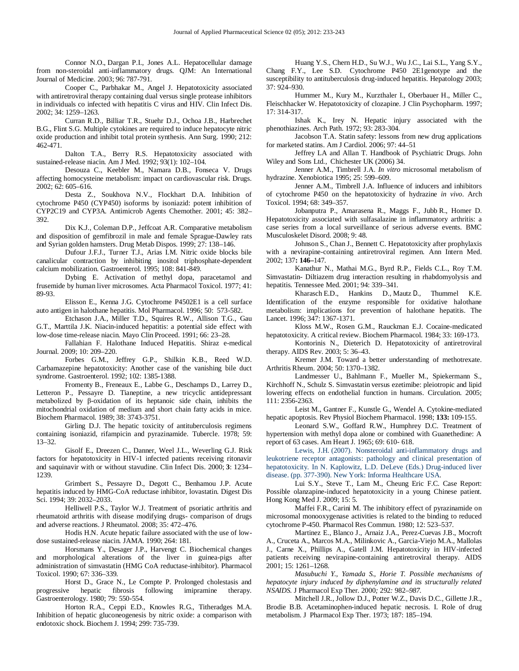Connor N.O., Dargan P.I., Jones A.L. Hepatocellular damage from non-steroidal anti-inflammatory drugs. QJM: An International Journal of Medicine. 2003; 96: 787-791.

Cooper C., Parbhakar M., Angel J. Hepatotoxicity associated with antiretroviral therapy containing dual versus single protease inhibitors in individuals co infected with hepatitis C virus and HIV. Clin Infect Dis. 2002; 34: 1259–1263.

Curran R.D., Billiar T.R., Stuehr D.J., Ochoa J.B., Harbrechet B.G., Flint S.G. Multiple cytokines are required to induce hepatocyte nitric oxide production and inhibit total protein synthesis. Ann Surg. 1990; 212: 462-471.

Dalton T.A., Berry R.S. Hepatotoxicity associated with sustained-release niacin. Am J Med. 1992; 93(1): 102–104.

Desouza C., Keebler M., Namara D.B., Fonseca V. Drugs affecting homocysteine metabolism: impact on cardiovascular risk. Drugs. 2002; 62: 605–616.

Desta Z., Soukhova N.V., Flockhart D.A. Inhibition of cytochrome P450 (CYP450) isoforms by isoniazid: potent inhibition of CYP2C19 and CYP3A. Antimicrob Agents Chemother. 2001; 45: 382– 392.

Dix K.J., Coleman D.P., Jeffcoat A.R. Comparative metabolism and disposition of gemfibrozil in male and female Sprague-Dawley rats and Syrian golden hamsters. Drug Metab Dispos. 1999; 27: 138–146.

Dufour J.F.J., Turner T.J., Arias I.M. Nitric oxide blocks bile canalicular contraction by inhibiting inositol triphosphate-dependent calcium mobilization. Gastroenterol. 1995; 108: 841-849.

Dybing E. Activation of methyl dopa, paracetamol and frusemide by human liver microsomes. Acta Pharmacol Toxicol. 1977; 41: 89-93.

Elisson E., Kenna J.G. Cytochrome P4502E1 is a cell surface auto antigen in halothane hepatitis. Mol Pharmacol. 1996; 50: 573-582.

Etchason J.A., Miller T.D., Squires R.W., Allison T.G., Gau G.T., Marttila J.K. Niacin-induced hepatitis: a potential side effect with low-dose time-release niacin. Mayo Clin Proceed. 1991; 66: 23–28.

Fallahian F. Halothane Induced Hepatitis. Shiraz e-medical Journal. 2009; 10: 209–220.

Forbes G.M., Jeffrey G.P., Shilkin K.B., Reed W.D. Carbamazepine hepatotoxicity: Another case of the vanishing bile duct syndrome. Gastroenterol. 1992; 102: 1385-1388.

Fromenty B., Freneaux E., Labbe G., Deschamps D., Larrey D., Letteron P., Pessayre D. Tianeptine, a new tricyclic antidepressant metabolized by β-oxidation of its heptanoic side chain, inhibits the mitochondrial oxidation of medium and short chain fatty acids in mice. Biochem Pharmacol. 1989; 38: 3743-3751.

Girling D.J. The hepatic toxicity of antituberculosis regimens containing isoniazid, rifampicin and pyrazinamide. Tubercle. 1978; 59: 13–32.

Gisolf E., Dreezen C., Danner, Weel J.L., Weverling G.J. Risk factors for hepatotoxicity in HIV-1 infected patients receiving ritonavir and saquinavir with or without stavudine. Clin Infect Dis. 2000; **3**: 1234– 1239.

Grimbert S., Pessayre D., Degott C., Benhamou J.P. Acute hepatitis induced by HMG-CoA reductase inhibitor, lovastatin. Digest Dis Sci. 1994; 39: 2032–2033.

Helliwell P.S., Taylor W.J. Treatment of psoriatic arthritis and rheumatoid arthritis with disease modifying drugs- comparison of drugs and adverse reactions. J Rheumatol. 2008; 35: 472–476.

Hodis H.N. Acute hepatic failure associated with the use of lowdose sustained-release niacin. JAMA. 1990; 264: 181.

Horsmans Y., Desager J.P., Harvengt C. Biochemical changes and morphological alterations of the liver in guinea-pigs after administration of simvastatin (HMG CoA reductase-inhibitor). Pharmacol Toxicol. 1990; 67: 336–339.

Horst D., Grace N., Le Compte P. Prolonged cholestasis and progressive hepatic fibrosis following imipramine therapy. Gastroenterology. 1980; 79: 550-554.

Horton R.A., Ceppi E.D., Knowles R.G., Titheradges M.A. Inhibition of hepatic gluconeogenesis by nitric oxide: a comparison with endotoxic shock. Biochem J. 1994; 299: 735-739.

Huang Y.S., Chern H.D., Su W.J., Wu J.C., Lai S.L., Yang S.Y., Chang F.Y., Lee S.D. Cytochrome P450 2E1genotype and the susceptibility to antituberculosis drug-induced hepatitis. Hepatology 2003; 37: 924–930.

Hummer M., Kury M., Kurzthaler I., Oberbauer H., Miller C., Fleischhacker W. Hepatotoxicity of clozapine. J Clin Psychopharm. 1997; 17: 314-317.

Ishak K., Irey N. Hepatic injury associated with the phenothiazines. Arch Path. 1972; 93: 283-304.

Jacobson T.A. Statin safety: lessons from new drug applications for marketed statins. Am J Cardiol. 2006; 97: 44–51

Jeffrey LA and Allan T. Handbook of Psychiatric Drugs. John Wiley and Sons Ltd., Chichester UK (2006) 34.

Jenner A.M., Timbrell J.A. *In vitro* microsomal metabolism of hydrazine. Xenobiotica 1995; 25: 599–609.

Jenner A.M., Timbrell J.A. Influence of inducers and inhibitors of cytochrome P450 on the hepatotoxicity of hydrazine *in vivo*. Arch Toxicol. 1994; 68: 349–357.

Jobanputra P., Amarasena R., Maggs F., Jubb R., Homer D. Hepatotoxicity associated with sulfasalazine in inflammatory arthritis: a case series from a local surveillance of serious adverse events. BMC Musculoskelet Disord. 2008; 9: 48.

Johnson S., Chan J., Bennett C. Hepatotoxicity after prophylaxis with a nevirapine-containing antiretroviral regimen. Ann Intern Med. 2002; 137**: 146–**147.

Kanathur N., Mathai M.G., Byrd R.P., Fields C.L., Roy T.M. Simvastatin- Diltiazem drug interaction resulting in rhabdomyolysis and hepatitis. Tennessee Med. 2001; 94: 339–341.

Kharasch E.D., Hankins D., Mautz D., Thummel K.E. Identification of the enzyme responsible for oxidative halothane metabolism: implications for prevention of halothane hepatitis. The Lancet. 1996; 347: 1367-1371.

Kloss M.W., Rosen G.M., Rauckman E.J. Cocaine-medicated hepatotoxicity. A critical review. Biochem Pharmacol. 1984; 33: 169-173.

Kontorinis N., Dieterich D. Hepatotoxicity of antiretroviral therapy. AIDS Rev. 2003; 5: 36–43.

Kremer J.M. Toward a better understanding of methotrexate. Arthritis Rheum. 2004; 50: 1370–1382.

Landmesser U., Bahlmann F., Mueller M., Spiekermann S., Kirchhoff N., Schulz S. Simvastatin versus ezetimibe: pleiotropic and lipid lowering effects on endothelial function in humans. Circulation. 2005; 111: 2356-2363.

Leist M., Gantner F., Kunstle G., Wendel A. Cytokine-mediated hepatic apoptosis. Rev Physiol Biochem Pharmacol. 1998; **133:** 109-155.

Leonard S.W., Goffard R.W., Humphrey D.C. Treatment of hypertension with methyl dopa alone or combined with Guanethedine: A report of 63 cases. Am Heart J. 1965; 69: 610- 618.

Lewis, J.H. (2007). Nonsteroidal anti-inflammatory drugs and leukotriene receptor antagonists: pathology and clinical presentation of hepatotoxicity. In N. Kaplowitz, L.D. DeLeve (Eds.) Drug-induced liver disease. (pp. 377-390). New York: Informa Healthcare USA.

Lui S.Y., Steve T., Lam M., Cheung Eric F.C. Case Report: Possible olanzapine-induced hepatotoxicity in a young Chinese patient. Hong Kong Med J. 2009; 15: 5.

Maffei F.R., Carini M. The inhibitory effect of pyrazinamide on microsomal monooxygenase activities is related to the binding to reduced cytochrome P-450. Pharmacol Res Commun. 1980; 12: 523–537.

Martinez E., Blanco J., Arnaiz J.A., Perez-Cuevas J.B., Mocroft A., Cruceta A., Marcos M.A., Milinkovic A., Garcia-Viejo M.A., Mallolas J., Carne X., Phillips A., Gatell J.M. Hepatotoxicity in HIV-infected patients receiving nevirapine-containing antiretroviral therapy. AIDS 2001; 15: 1261–1268.

*Masubuchi Y., Yamada S., Horie T. Possible mechanisms of hepatocyte injury induced by diphenylamine and its structurally related NSAIDS.* J Pharmacol Exp Ther*.* 2000*;* 292*:* 982*–987.*

Mitchell J.R., Jollow D.J., Potter W.Z., Davis D.C., Gillette J.R., Brodie B.B. Acetaminophen-induced hepatic necrosis. I. Role of drug metabolism. J Pharmacol Exp Ther. 1973; 187: 185–194.